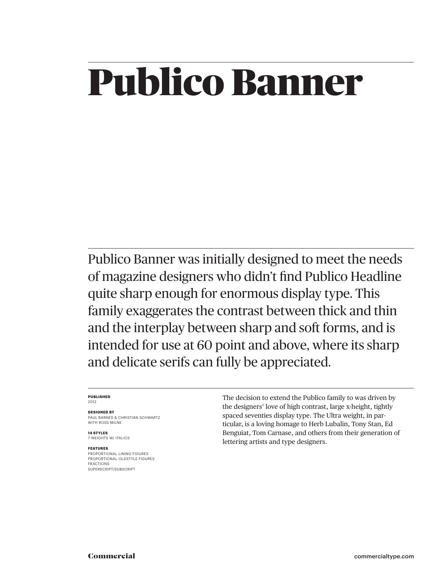### Publico Banner

Publico Banner was initially designed to meet the needs of magazine designers who didn't find Publico Headline quite sharp enough for enormous display type. This family exaggerates the contrast between thick and thin and the interplay between sharp and soft forms, and is intended for use at 60 point and above, where its sharp and delicate serifs can fully be appreciated.

#### **PUBLISHED** 2012

**DESIGNED BY**

PAUL BARNES & CHRISTIAN SCHWARTZ WITH ROSS MILNE

**14 STYLES** 7 WEIGHTS W/ ITALICS

#### **FEATURES**

PROPORTIONAL LINING FIGURES PROPORTIONAL OLDSTYLE FIGURES FRACTIONS SUPERSCRIPT/SUBSCRIPT

The decision to extend the Publico family to was driven by the designers' love of high contrast, large x-height, tightly spaced seventies display type. The Ultra weight, in particular, is a loving homage to Herb Lubalin, Tony Stan, Ed Benguiat, Tom Carnase, and others from their generation of lettering artists and type designers.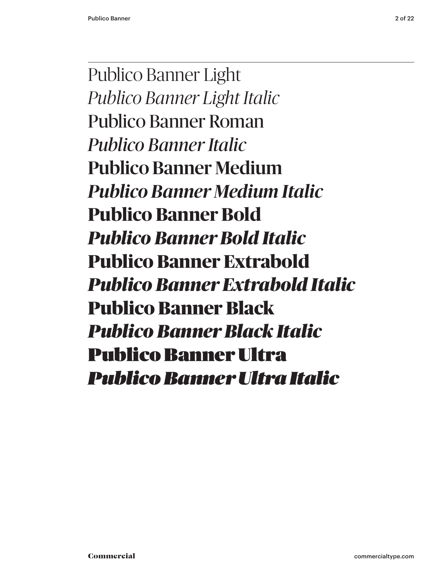Publico Banner Light *Publico Banner Light Italic* Publico Banner Roman *Publico Banner Italic* Publico Banner Medium *Publico Banner Medium Italic* **Publico Banner Bold** *Publico Banner Bold Italic* **Publico Banner Extrabold** *Publico Banner Extrabold Italic* Publico Banner Black *Publico Banner Black Italic* Publico Banner Ultra *Publico Banner Ultra Italic*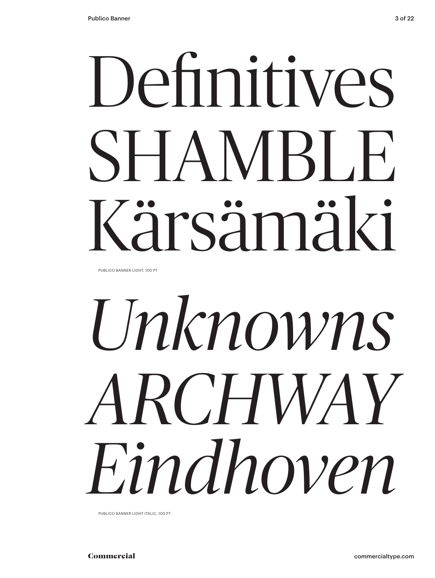# Definitives SHAMBLE Kärsämäki

PUBLICO BANNER LIGHT, 100 PT

# *Unknowns ARCHWAY Eindhoven*

PUBLICO BANNER LIGHT ITALIC, 100 PT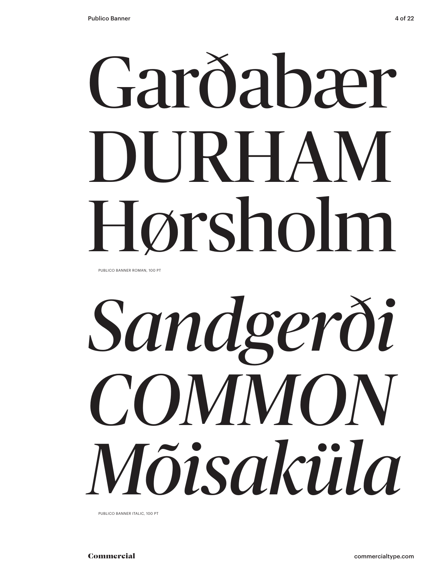# Garðabær DURHAM Hørsholm

PUBLICO BANNER ROMAN, 100 PT

# *Sandgerði COMMON Mõisaküla*

PUBLICO BANNER ITALIC, 100 PT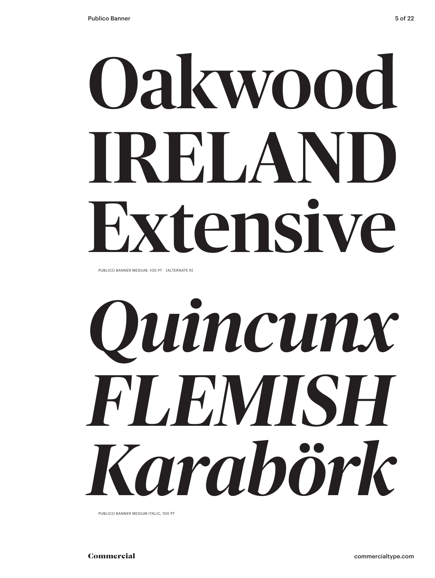# Oakwood IRELAND Extensive

PUBLICO BANNER MEDIUM, 100 PT [ALTERNATE R]



PUBLICO BANNER MEDIUM ITALIC, 100 PT

Commercial commercialtype.com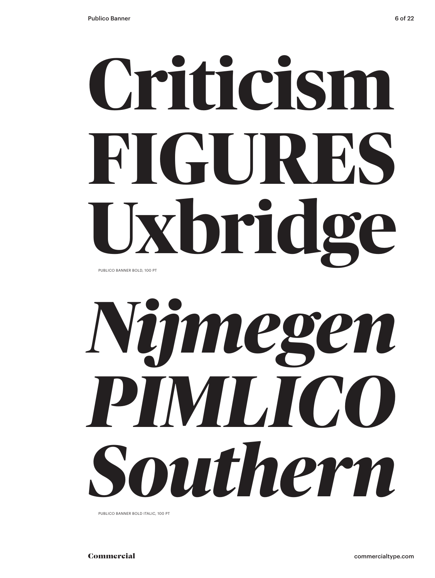## **Criticism FIGURES Uxbridge** PUBLICO BANNER BOLD, 100 PT



PUBLICO BANNER BOLD ITALIC, 100 PT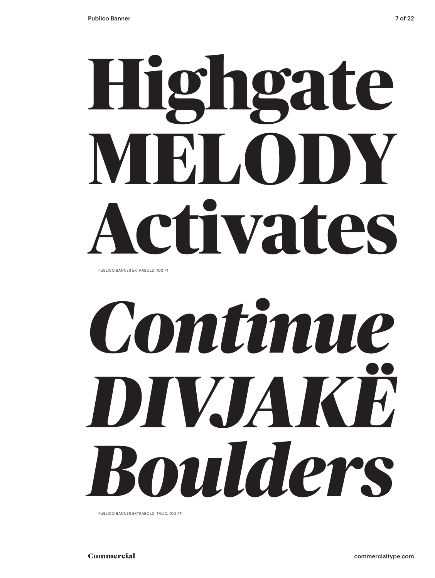# **Highgate REL.OD Activates**

PUBLICO BANNER EXTRABOLD, 100 PT

# *Continue DIVJA Boulders*

PUBLICO BANNER EXTRABOLD ITALIC, 100 PT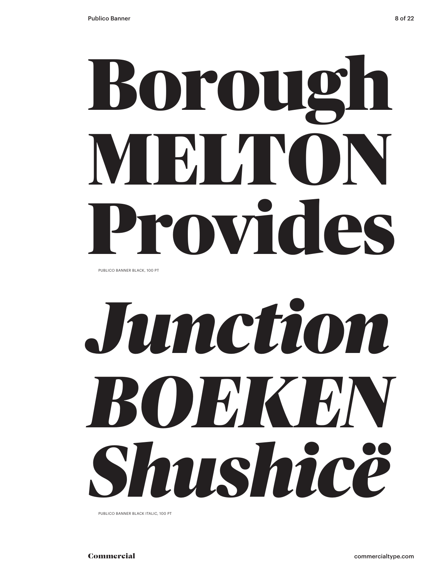# Borough MELTON Provides

PUBLICO BANNER BLACK, 100 PT

# *Junction BOEKEN Shushicë*

PUBLICO BANNER BLACK ITALIC, 100 PT

Commercial commercialtype.com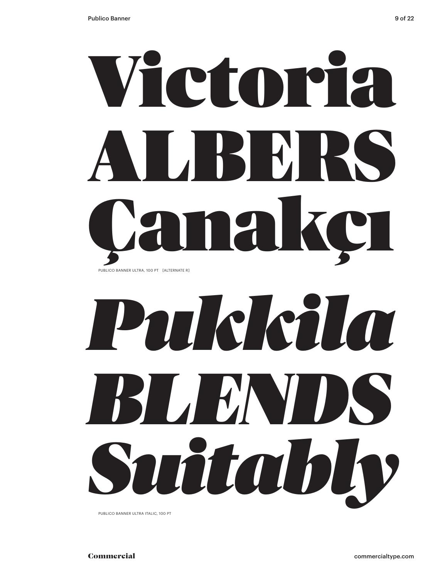



PUBLICO BANNER ULTRA ITALIC, 100 PT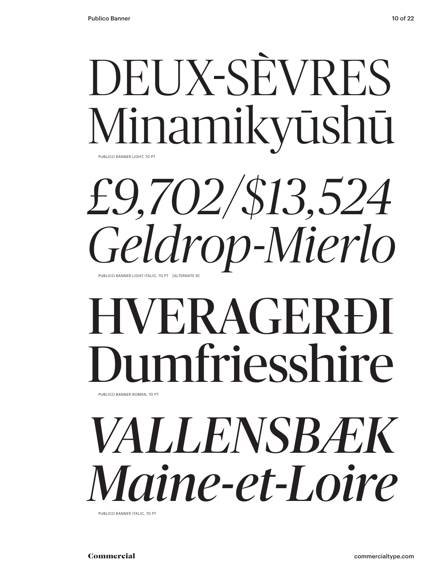### PUBLICO BANNER LIGHT, 70 PT DEUX-SÈVRES Minamikyūshū

PUBLICO BANNER LIGHT ITALIC, 70 PT [ALTERNATE R] *£9,702/\$13,524 Geldrop-Mierlo* 

### PUBLICO BANNER ROMAN, 70 PT HVERAGERÐI mfriesshire

*VALLENSBÆK Maine-et-Loire*

PUBLICO BANNER ITALIC, 70 PT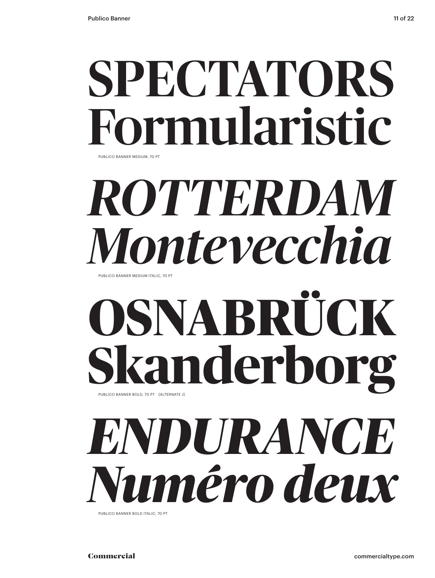### SPECTATORS mularistic PUBLICO BANNER MEDIUM, 70 PT

## *ROTTERDAM Montevecchia*

PUBLICO BANNER MEDIUM ITALIC, 70 PT

### **OSNABRÜCK Skanderborg** PUBLICO BANNER BOLD, 70 PT [ALTERNATE J]

## *ENDURANCE Numéro deux*

PUBLICO BANNER BOLD ITALIC, 70 PT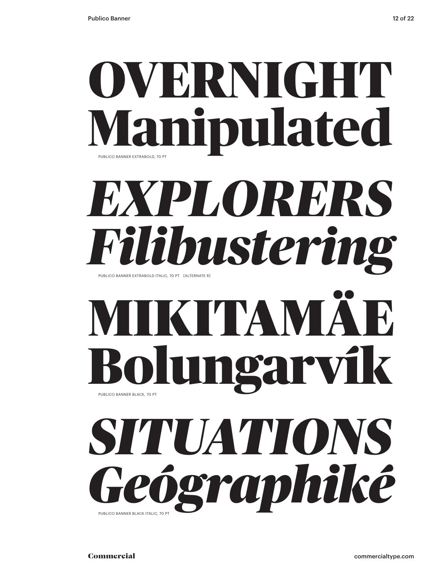

### *EXPLORERS Filibustering* PUBLICO BANNER EXTRABOLD ITALIC, 70 PT [ALTERNATE R]

## KITAM Bolungarví

### *SITUATIONS Geógraphiké*  PUBLICO BANNER BLACK ITALIC, 70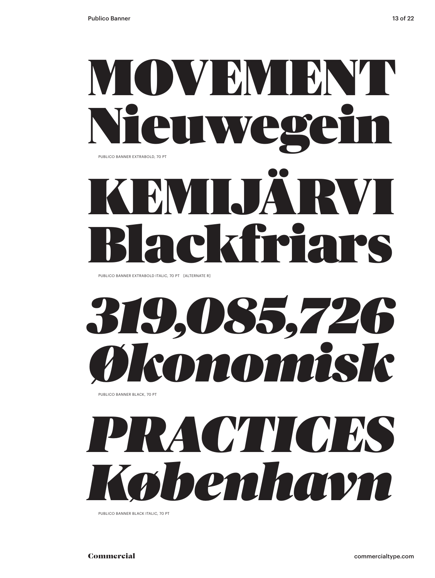### MOVEMBN'I Nieuwegein PUBLICO BANNER EXTRABOLD, 70 PT

## KEMIJÄRVI Blackfriars

PUBLICO BANNER EXTRABOLD ITALIC, 70 PT [ALTERNATE R]

## *319,085,726 Økonomisk*

PUBLICO BANNER BLACK, 70 PT

## *PRACTICES København*

PUBLICO BANNER BLACK ITALIC, 70 PT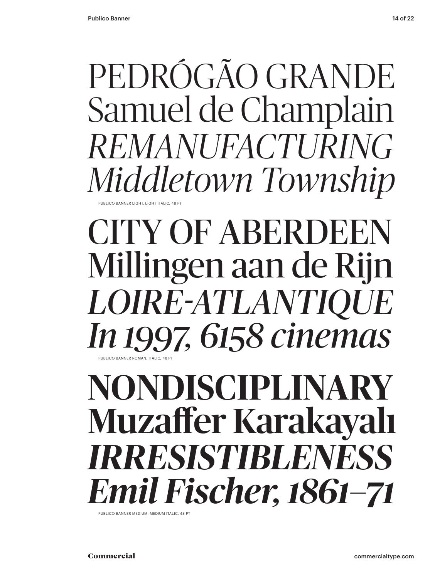#### PEDRÓGÃO GRANDE Samuel de Champlain *REMANUFACTURING Middletown Township* **PUBLICO BANNER LIGHT, LIGHT ITALIC, 48**

#### CITY OF ABERDEEN Millingen aan de Rijn *LOIRE-ATLANTIQUE In 1997, 6158 cinemas* PUBLICO BANNER ROMAN, ITALIC, 48 PT

### NONDISCIPLINARY Muzaffer Karakayalı *IRRESISTIBLENESS Emil Fischer, 1861–71*

PUBLICO BANNER MEDIUM, MEDIUM ITALIC, 48 PT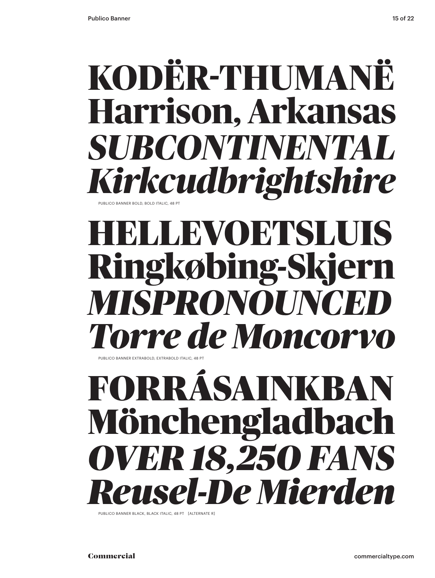## **KODËR-THUMANË Harrison, Arkansas**

*SUBCONTINENTAL Kirkcudbrightshire* PUBLICO BANNER BOLD, BOLD ITALIC, 48

#### **HELLEVOETSLUIS Ringkøbing-Skjern** *MISPRONOUNCED Torre de Moncorvo* PUBLICO BANNER EXTRABOLD, EXTRABOLD ITALIC

FORRÁSAINKBAN Mönchengladbach *OVER 18,250 FANS Reusel-De Mierden*

PUBLICO BANNER BLACK, BLACK ITALIC, 48 PT [ALTERNATE R]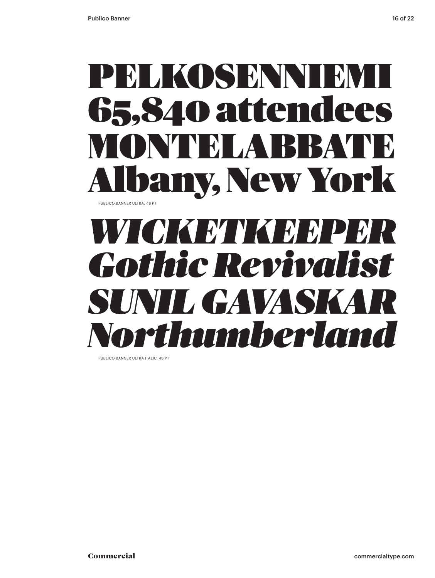

### *WICKETKEEPER Gothic Revivalist* **SUNIL GAVASK** *Northumberland*

PUBLICO BANNER ULTRA ITALIC, 48 PT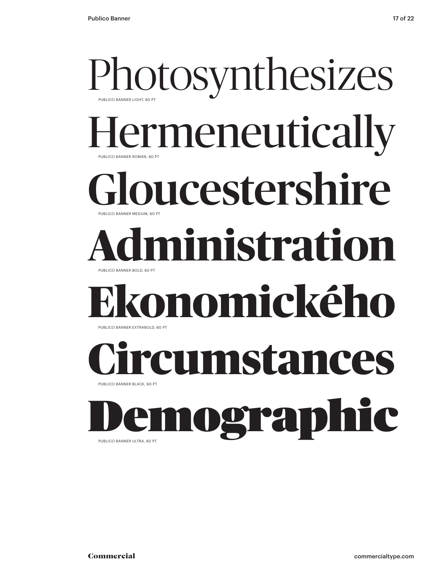#### Photosynthesizes PUBLICO BANNER ROMAN, 60 PT PUBLICO BANNER LIGHT, 60 PT ermeneutically oucestershire PUBLICO BANNER BOLD, 60 PT PUBLICO BANNER MEDIUM, 60 PT **Administration Ekonomického** PUBLICO BANNER BLACK, 60 PT PUBLICO BANNER EXTRABOLD, 60 PT Circumstances eraph

PUBLICO BANNER ULTRA, 60 PT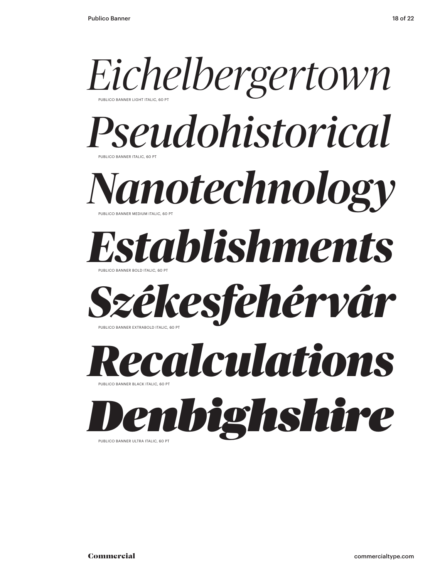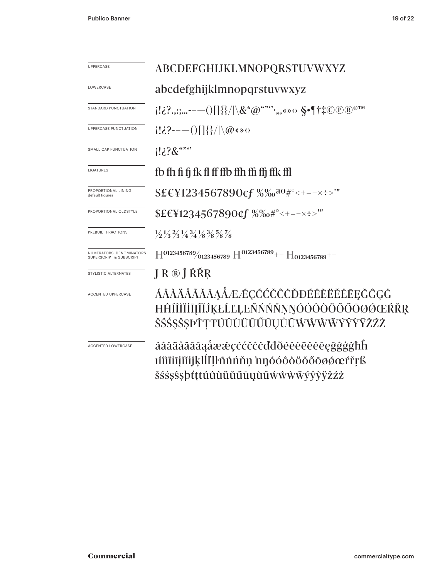| <b>UPPERCASE</b>                                               | ABCDEFGHIJKLMNOPQRSTUVWXYZ                                                                            |  |  |
|----------------------------------------------------------------|-------------------------------------------------------------------------------------------------------|--|--|
| LOWERCASE                                                      | abcdefghijklmnopqrstuvwxyz                                                                            |  |  |
| STANDARD PUNCTUATION                                           |                                                                                                       |  |  |
| UPPERCASE PUNCTUATION                                          | $[2.3 - -()$ $]$ {}/ \@ ( ) $\circ$                                                                   |  |  |
| SMALL CAP PUNCTUATION                                          | $12.28$ $\cdots$                                                                                      |  |  |
| LIGATURES                                                      | fb fh fi fj fk fl ff ffb ffh ffi ffj ffk ffl                                                          |  |  |
| PROPORTIONAL LINING<br>default figures                         | $$EEY1234567890$ of $\%$ % $a_0$ #°<+=-x:>"                                                           |  |  |
| PROPORTIONAL OLDSTYLE                                          | $$EEY1234567890$ of $%%e#^{\circ}<+=-x:-$                                                             |  |  |
| PREBUILT FRACTIONS                                             | $\frac{1}{2}\frac{1}{3}\frac{2}{3}\frac{1}{4}\frac{3}{4}\frac{1}{8}\frac{3}{8}\frac{5}{8}\frac{7}{8}$ |  |  |
| NUMERATORS, DENOMINATORS<br><b>SUPERSCRIPT &amp; SUBSCRIPT</b> | $\rm H^{0123456789}/_{0123456789}$ $\rm H^{0123456789}$ + $\rm H_{0123456789}$ + -                    |  |  |
| STYLISTIC ALTERNATES                                           | J R ® Ĵ ŔŘŖ                                                                                           |  |  |
| ACCENTED UPPERCASE                                             | ÁÂÀÄÅÃĂĀAÀÆÆÇĆĆČĈDĐÉÊÈËĚĖĒĘĞĜĢĠ<br>ĦĤÍÎÌÏĬĪĮĨĬĴĶŁĹĽĻĿÑŃŃŇŅŃÓÔÔŎŎŐŐŌØŐŒŔŘŖ                             |  |  |
|                                                                | ŠŚŚ\$\$\$\$PŤŢŦÚÛÙŬŬŬŰŪŲŮŨŴŴŴŴÝŶŸŽŹŻ                                                                  |  |  |
| <b>ACCENTED LOWERCASE</b>                                      | áâàäåããāaåææçććčĉċďđðéêèëěēeğĝģġħh                                                                    |  |  |
|                                                                | ıíîìïiijíĭijkłlľļŀñńńňn 'nŋóóôòöőőōøøœŕřŗß                                                            |  |  |
|                                                                | šśśşŝşþťţŧúûùüŭűūųůũẃŵẁẅýŷỳÿžźż                                                                       |  |  |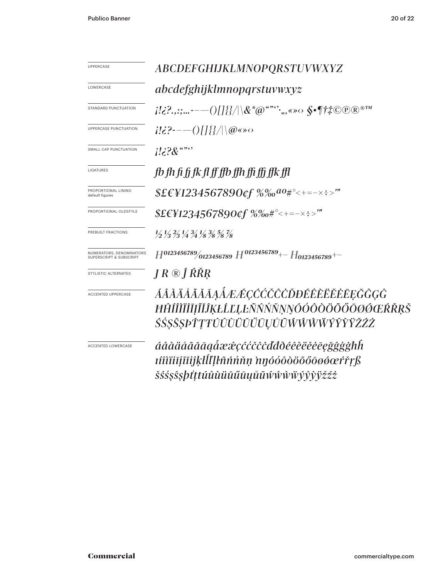| <b>UPPERCASE</b>                                    | ABCDEFGHIJKLMNOPQRSTUVWXYZ                                                                                                                                                                                                                                                                                                                                                                  |  |  |
|-----------------------------------------------------|---------------------------------------------------------------------------------------------------------------------------------------------------------------------------------------------------------------------------------------------------------------------------------------------------------------------------------------------------------------------------------------------|--|--|
| LOWERCASE                                           | abcdefghijklmnopqrstuvwxyz                                                                                                                                                                                                                                                                                                                                                                  |  |  |
| STANDARD PUNCTUATION                                | $j! \epsilon?$ ,,:;- $--\hspace{-0.6cm}\bigcirc\hspace{-0.6cm}\bigcap\hspace{-0.6cm}\{ \}\hspace{-0.6cm} \big/ \hspace{-0.6cm}\big\backslash \hspace{-0.6cm}\& \hspace{0.6cm} \mathcal{X}^* @^{``\text{'''}},$ , $\scriptstyle\ast \otimes \diamond \hspace{-0.6cm}\big\backslash \} \P \dagger \ddot{\ast} \textcircled{O} \textcircled{O} \textcircled{R}^{\scriptscriptstyle\otimes TM}$ |  |  |
| UPPERCASE PUNCTUATION                               | $i!i$ ?----()[]{}/ \@«» $\diamond$                                                                                                                                                                                                                                                                                                                                                          |  |  |
| SMALL CAP PUNCTUATION                               | $i!i$ ? $\&$                                                                                                                                                                                                                                                                                                                                                                                |  |  |
| LIGATURES                                           | fb fh fi fi fk fl ff ffb ffh ffi ffi ffk ffl                                                                                                                                                                                                                                                                                                                                                |  |  |
| PROPORTIONAL LINING<br>default figures              | $$EEY1234567890$ cf $\%$ ‰ <sup>ao</sup> #°<+=-×÷>‴                                                                                                                                                                                                                                                                                                                                         |  |  |
| PROPORTIONAL OLDSTYLE                               | $$EEY1234567890$ of $%%e#^{\circ}<+=-x:-$                                                                                                                                                                                                                                                                                                                                                   |  |  |
| PREBUILT FRACTIONS                                  | $\frac{1}{2}$ $\frac{1}{3}$ $\frac{2}{3}$ $\frac{1}{4}$ $\frac{3}{4}$ $\frac{1}{8}$ $\frac{3}{8}$ $\frac{5}{8}$ $\frac{7}{8}$                                                                                                                                                                                                                                                               |  |  |
| NUMERATORS, DENOMINATORS<br>SUPERSCRIPT & SUBSCRIPT | $H^{0123456789}/_{0123456789}$ $H^{0123456789}$ + - $H_{0123456789}$ + -                                                                                                                                                                                                                                                                                                                    |  |  |
| STYLISTIC ALTERNATES                                | $J R \otimes \hat{J} R R R$                                                                                                                                                                                                                                                                                                                                                                 |  |  |
| <b>ACCENTED UPPERCASE</b>                           | ÁÂÀÄÅÃĂĀĄÁÆÆÇĆĆČĈĎĐÉÊÈĔĔĖĒĘĞĜĢĠ<br>ĦĤÍÎÌÏĬĪĪĨĬĴĶŁĹĽĿĿÑŃŃŇŅŊÓÓÔŎŎŐŐŌØŐŒŔŘŖŠ<br>ŚŚŞŜŞÞŤŢŦÚÛÙŬŬŰŪŲŮŨŴŴŴŴÝŶŸŽŹŻ                                                                                                                                                                                                                                                                                 |  |  |
| <b>ACCENTED LOWERCASE</b>                           | áâàäåããāaaåææçććčĉċďďðéêèëĕēeğĝģġħh<br>tíîìïiījĩĭiĵķŀĺľḷŀñńńňṇ nŋóóôòöõőōøøœŕřŗß<br><i>šśśş</i> ŝşþťttúûùüŭűūyůũẃŵẁŸŷŷÿžźż                                                                                                                                                                                                                                                                  |  |  |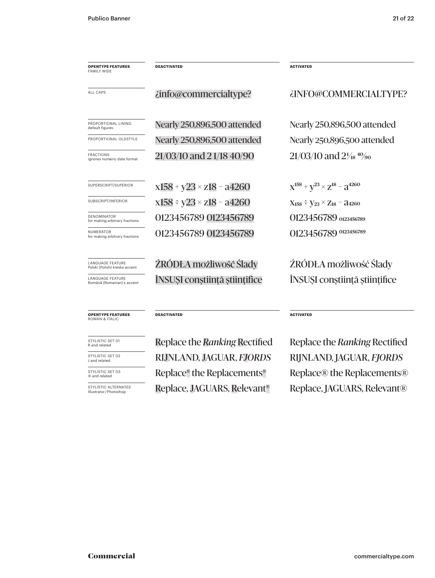| <b>OPENTYPE FEATURES</b><br><b>FAMILY WIDE</b>           | <b>DEACTIVATED</b>                 | <b>ACTIVATED</b>                               |
|----------------------------------------------------------|------------------------------------|------------------------------------------------|
| ALL CAPS                                                 | <i>i</i> info@commercialtype?      | ¿INFO@COMMERCIALTYPE?                          |
| PROPORTIONAL LINING<br>default figures                   | Nearly 250,896,500 attended        | Nearly 250,896,500 attended                    |
| PROPORTIONAL OLDSTYLE                                    | Nearly 250,896,500 attended        | Nearly 250,896,500 attended                    |
| <b>FRACTIONS</b><br>ignores numeric date format          | 21/03/10 and 21/18 40/90           | $21/03/10$ and $2\frac{1}{18}$ $\frac{40}{90}$ |
| SUPERSCRIPT/SUPERIOR                                     | $x158 + y23 \times z18 - a4260$    | $X^{158} + V^{23} \times Z^{18} - 3^{4260}$    |
| SUBSCRIPT/INFERIOR                                       | $x158 \div y23 \times z18 - a4260$ | $X_{158} \div Y_{23} \times Z_{18}$ – 24260    |
| <b>DENOMINATOR</b><br>for making arbitrary fractions     | 0123456789 0123456789              | 0123456789 0123456789                          |
| <b>NUMERATOR</b><br>for making arbitrary fractions       | 0123456789 0123456789              | 0123456789 0123456789                          |
| <b>LANGUAGE FEATURE</b><br>Polski (Polish) kreska accent | ŹRÓDŁA możliwość Ślady             | ŹRÓDŁA możliwość Ślady                         |
| <b>LANGUAGE FEATURE</b><br>Română (Romanian) s accent    | ÎNSUȘI conștiință științifice      | ÎNSUȘI conștiință științifice                  |

#### **OPENTYPE FEATURES** ROMAN & ITALIC

STYLISTIC SET 01<br>R and related

STYLISTIC SET 02<br>J and related STYLISTIC SET 03<br>® and related

STYLISTIC ALTERNATES<br>Illustrator/Photoshop

Replace, JAGUARS, Relevant<sup>®</sup> Replace, JAGUARS, Relevant® J and related RIJNLAND, JAGUAR, *FJORDS* RIJNLAND, JAGUAR, *FJORDS*

**DEACTIVATED ACTIVATED**

Replace the *Ranking* Rectified Replace the *Ranking* Rectified Replace® the Replacements® Replace® the Replacements®

Commercial commercialtype.com